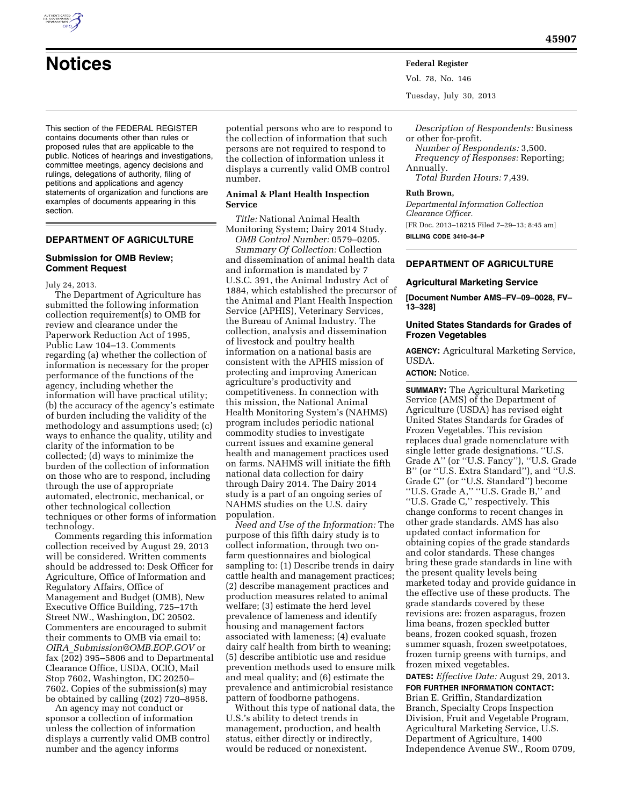

**Notices Federal Register** Vol. 78, No. 146 Tuesday, July 30, 2013

This section of the FEDERAL REGISTER contains documents other than rules or proposed rules that are applicable to the public. Notices of hearings and investigations, committee meetings, agency decisions and rulings, delegations of authority, filing of petitions and applications and agency statements of organization and functions are examples of documents appearing in this section.

# **DEPARTMENT OF AGRICULTURE**

#### **Submission for OMB Review; Comment Request**

July 24, 2013.

The Department of Agriculture has submitted the following information collection requirement(s) to OMB for review and clearance under the Paperwork Reduction Act of 1995, Public Law 104–13. Comments regarding (a) whether the collection of information is necessary for the proper performance of the functions of the agency, including whether the information will have practical utility; (b) the accuracy of the agency's estimate of burden including the validity of the methodology and assumptions used; (c) ways to enhance the quality, utility and clarity of the information to be collected; (d) ways to minimize the burden of the collection of information on those who are to respond, including through the use of appropriate automated, electronic, mechanical, or other technological collection techniques or other forms of information technology.

Comments regarding this information collection received by August 29, 2013 will be considered. Written comments should be addressed to: Desk Officer for Agriculture, Office of Information and Regulatory Affairs, Office of Management and Budget (OMB), New Executive Office Building, 725–17th Street NW., Washington, DC 20502. Commenters are encouraged to submit their comments to OMB via email to: *OIRA*\_*[Submission@OMB.EOP.GOV](mailto:OIRA_Submission@OMB.EOP.GOV)* or fax (202) 395–5806 and to Departmental Clearance Office, USDA, OCIO, Mail Stop 7602, Washington, DC 20250– 7602. Copies of the submission(s) may be obtained by calling (202) 720–8958.

An agency may not conduct or sponsor a collection of information unless the collection of information displays a currently valid OMB control number and the agency informs

potential persons who are to respond to the collection of information that such persons are not required to respond to the collection of information unless it displays a currently valid OMB control number.

# **Animal & Plant Health Inspection Service**

*Title:* National Animal Health Monitoring System; Dairy 2014 Study. *OMB Control Number:* 0579–0205.

*Summary Of Collection:* Collection and dissemination of animal health data and information is mandated by 7 U.S.C. 391, the Animal Industry Act of 1884, which established the precursor of the Animal and Plant Health Inspection Service (APHIS), Veterinary Services, the Bureau of Animal Industry. The collection, analysis and dissemination of livestock and poultry health information on a national basis are consistent with the APHIS mission of protecting and improving American agriculture's productivity and competitiveness. In connection with this mission, the National Animal Health Monitoring System's (NAHMS) program includes periodic national commodity studies to investigate current issues and examine general health and management practices used on farms. NAHMS will initiate the fifth national data collection for dairy through Dairy 2014. The Dairy 2014 study is a part of an ongoing series of NAHMS studies on the U.S. dairy population.

*Need and Use of the Information:* The purpose of this fifth dairy study is to collect information, through two onfarm questionnaires and biological sampling to: (1) Describe trends in dairy cattle health and management practices; (2) describe management practices and production measures related to animal welfare; (3) estimate the herd level prevalence of lameness and identify housing and management factors associated with lameness; (4) evaluate dairy calf health from birth to weaning; (5) describe antibiotic use and residue prevention methods used to ensure milk and meal quality; and (6) estimate the prevalence and antimicrobial resistance pattern of foodborne pathogens.

Without this type of national data, the U.S.'s ability to detect trends in management, production, and health status, either directly or indirectly, would be reduced or nonexistent.

*Description of Respondents:* Business or other for-profit.

*Number of Respondents:* 3,500. *Frequency of Responses:* Reporting; Annually.

*Total Burden Hours:* 7,439.

#### **Ruth Brown,**

*Departmental Information Collection Clearance Officer.*  [FR Doc. 2013–18215 Filed 7–29–13; 8:45 am] **BILLING CODE 3410–34–P** 

# **DEPARTMENT OF AGRICULTURE**

#### **Agricultural Marketing Service**

**[Document Number AMS–FV–09–0028, FV– 13–328]** 

# **United States Standards for Grades of Frozen Vegetables**

**AGENCY:** Agricultural Marketing Service, USDA.

#### **ACTION:** Notice.

**SUMMARY:** The Agricultural Marketing Service (AMS) of the Department of Agriculture (USDA) has revised eight United States Standards for Grades of Frozen Vegetables. This revision replaces dual grade nomenclature with single letter grade designations. ''U.S. Grade A'' (or ''U.S. Fancy''), ''U.S. Grade B'' (or ''U.S. Extra Standard''), and ''U.S. Grade C'' (or ''U.S. Standard'') become ''U.S. Grade A,'' ''U.S. Grade B,'' and ''U.S. Grade C,'' respectively. This change conforms to recent changes in other grade standards. AMS has also updated contact information for obtaining copies of the grade standards and color standards. These changes bring these grade standards in line with the present quality levels being marketed today and provide guidance in the effective use of these products. The grade standards covered by these revisions are: frozen asparagus, frozen lima beans, frozen speckled butter beans, frozen cooked squash, frozen summer squash, frozen sweetpotatoes, frozen turnip greens with turnips, and frozen mixed vegetables.

**DATES:** *Effective Date:* August 29, 2013.

**FOR FURTHER INFORMATION CONTACT:**  Brian E. Griffin, Standardization Branch, Specialty Crops Inspection Division, Fruit and Vegetable Program, Agricultural Marketing Service, U.S. Department of Agriculture, 1400 Independence Avenue SW., Room 0709,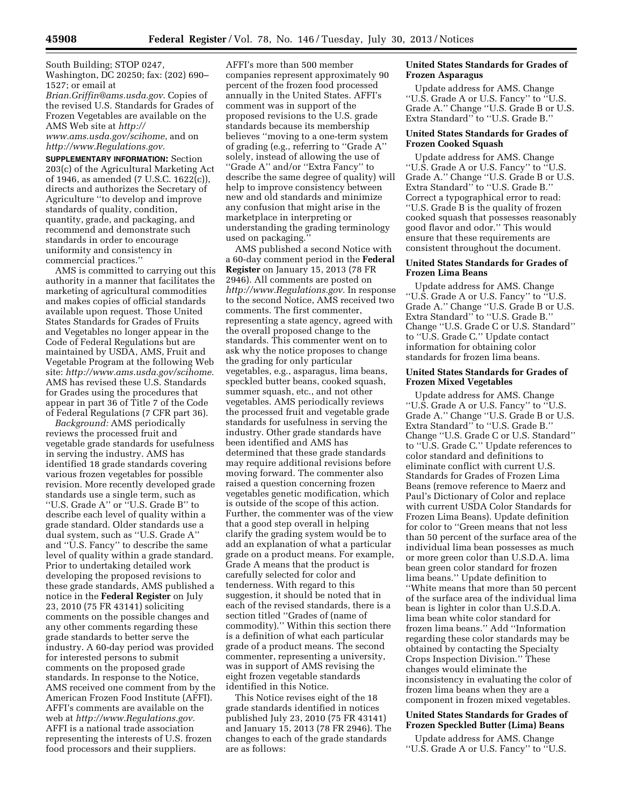South Building; STOP 0247, Washington, DC 20250; fax: (202) 690– 1527; or email at

*[Brian.Griffin@ams.usda.gov](mailto:Brian.Griffin@ams.usda.gov)*. Copies of the revised U.S. Standards for Grades of Frozen Vegetables are available on the AMS Web site at *[http://](http://www.ams.usda.gov/scihome)* 

*[www.ams.usda.gov/scihome](http://www.ams.usda.gov/scihome)*, and on *[http://www.Regulations.gov.](http://www.Regulations.gov)* 

**SUPPLEMENTARY INFORMATION:** Section 203(c) of the Agricultural Marketing Act of 1946, as amended (7 U.S.C. 1622(c)), directs and authorizes the Secretary of Agriculture ''to develop and improve standards of quality, condition, quantity, grade, and packaging, and recommend and demonstrate such standards in order to encourage uniformity and consistency in commercial practices.''

AMS is committed to carrying out this authority in a manner that facilitates the marketing of agricultural commodities and makes copies of official standards available upon request. Those United States Standards for Grades of Fruits and Vegetables no longer appear in the Code of Federal Regulations but are maintained by USDA, AMS, Fruit and Vegetable Program at the following Web site: *[http://www.ams.usda.gov/scihome.](http://www.ams.usda.gov/scihome)*  AMS has revised these U.S. Standards for Grades using the procedures that appear in part 36 of Title 7 of the Code of Federal Regulations (7 CFR part 36).

*Background:* AMS periodically reviews the processed fruit and vegetable grade standards for usefulness in serving the industry. AMS has identified 18 grade standards covering various frozen vegetables for possible revision. More recently developed grade standards use a single term, such as ''U.S. Grade A'' or ''U.S. Grade B'' to describe each level of quality within a grade standard. Older standards use a dual system, such as ''U.S. Grade A'' and ''U.S. Fancy'' to describe the same level of quality within a grade standard. Prior to undertaking detailed work developing the proposed revisions to these grade standards, AMS published a notice in the **Federal Register** on July 23, 2010 (75 FR 43141) soliciting comments on the possible changes and any other comments regarding these grade standards to better serve the industry. A 60-day period was provided for interested persons to submit comments on the proposed grade standards. In response to the Notice, AMS received one comment from by the American Frozen Food Institute (AFFI). AFFI's comments are available on the web at *[http://www.Regulations.gov.](http://www.Regulations.gov)*  AFFI is a national trade association representing the interests of U.S. frozen food processors and their suppliers.

AFFI's more than 500 member companies represent approximately 90 percent of the frozen food processed annually in the United States. AFFI's comment was in support of the proposed revisions to the U.S. grade standards because its membership believes ''moving to a one-term system of grading (e.g., referring to ''Grade A'' solely, instead of allowing the use of ''Grade A'' and/or ''Extra Fancy'' to describe the same degree of quality) will help to improve consistency between new and old standards and minimize any confusion that might arise in the marketplace in interpreting or understanding the grading terminology used on packaging.

AMS published a second Notice with a 60-day comment period in the **Federal Register** on January 15, 2013 (78 FR 2946). All comments are posted on *[http://www.Regulations.gov.](http://www.Regulations.gov)* In response to the second Notice, AMS received two comments. The first commenter, representing a state agency, agreed with the overall proposed change to the standards. This commenter went on to ask why the notice proposes to change the grading for only particular vegetables, e.g., asparagus, lima beans, speckled butter beans, cooked squash, summer squash, etc., and not other vegetables. AMS periodically reviews the processed fruit and vegetable grade standards for usefulness in serving the industry. Other grade standards have been identified and AMS has determined that these grade standards may require additional revisions before moving forward. The commenter also raised a question concerning frozen vegetables genetic modification, which is outside of the scope of this action. Further, the commenter was of the view that a good step overall in helping clarify the grading system would be to add an explanation of what a particular grade on a product means. For example, Grade A means that the product is carefully selected for color and tenderness. With regard to this suggestion, it should be noted that in each of the revised standards, there is a section titled ''Grades of (name of commodity).'' Within this section there is a definition of what each particular grade of a product means. The second commenter, representing a university, was in support of AMS revising the eight frozen vegetable standards identified in this Notice.

This Notice revises eight of the 18 grade standards identified in notices published July 23, 2010 (75 FR 43141) and January 15, 2013 (78 FR 2946). The changes to each of the grade standards are as follows:

# **United States Standards for Grades of Frozen Asparagus**

Update address for AMS. Change ''U.S. Grade A or U.S. Fancy'' to ''U.S. Grade A.'' Change ''U.S. Grade B or U.S. Extra Standard'' to ''U.S. Grade B.''

#### **United States Standards for Grades of Frozen Cooked Squash**

Update address for AMS. Change ''U.S. Grade A or U.S. Fancy'' to ''U.S. Grade A.'' Change ''U.S. Grade B or U.S. Extra Standard'' to ''U.S. Grade B.'' Correct a typographical error to read: ''U.S. Grade B is the quality of frozen cooked squash that possesses reasonably good flavor and odor.'' This would ensure that these requirements are consistent throughout the document.

#### **United States Standards for Grades of Frozen Lima Beans**

Update address for AMS. Change ''U.S. Grade A or U.S. Fancy'' to ''U.S. Grade A.'' Change ''U.S. Grade B or U.S. Extra Standard'' to ''U.S. Grade B.'' Change ''U.S. Grade C or U.S. Standard'' to ''U.S. Grade C.'' Update contact information for obtaining color standards for frozen lima beans.

#### **United States Standards for Grades of Frozen Mixed Vegetables**

Update address for AMS. Change ''U.S. Grade A or U.S. Fancy'' to ''U.S. Grade A.'' Change ''U.S. Grade B or U.S. Extra Standard'' to ''U.S. Grade B.'' Change ''U.S. Grade C or U.S. Standard'' to ''U.S. Grade C.'' Update references to color standard and definitions to eliminate conflict with current U.S. Standards for Grades of Frozen Lima Beans (remove reference to Maerz and Paul's Dictionary of Color and replace with current USDA Color Standards for Frozen Lima Beans). Update definition for color to ''Green means that not less than 50 percent of the surface area of the individual lima bean possesses as much or more green color than U.S.D.A. lima bean green color standard for frozen lima beans.'' Update definition to ''White means that more than 50 percent of the surface area of the individual lima bean is lighter in color than U.S.D.A. lima bean white color standard for frozen lima beans.'' Add ''Information regarding these color standards may be obtained by contacting the Specialty Crops Inspection Division.'' These changes would eliminate the inconsistency in evaluating the color of frozen lima beans when they are a component in frozen mixed vegetables.

# **United States Standards for Grades of Frozen Speckled Butter (Lima) Beans**

Update address for AMS. Change ''U.S. Grade A or U.S. Fancy'' to ''U.S.